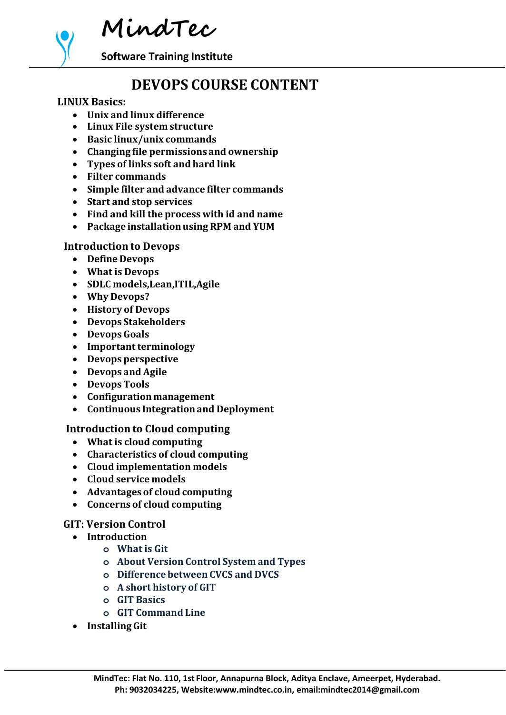**MindTec**

**Software Training Institute**

# **DEVOPS COURSE CONTENT**

#### **LINUX Basics:**

- **Unix and linux difference**
- **Linux File system structure**
- **Basic linux/unix commands**
- **Changing file permissions and ownership**
- **Types of links soft and hard link**
- **Filter commands**
- **Simple filter and advance filter commands**
- **Start and stop services**
- **Find and kill the process with id and name**
- **Package installationusing RPM and YUM**

#### **Introduction to Devops**

- **Define Devops**
- **What is Devops**
- **SDLC models,Lean,ITIL,Agile**
- **Why Devops?**
- **History of Devops**
- **Devops Stakeholders**
- **Devops Goals**
- **Important terminology**
- **Devops perspective**
- **Devops and Agile**
- **Devops Tools**
- **Configurationmanagement**
- **Continuous Integrationand Deployment**

### **Introduction to Cloud computing**

- **What is cloud computing**
- **Characteristics of cloud computing**
- **Cloud implementation models**
- **Cloud service models**
- **Advantagesof cloud computing**
- **Concerns of cloud computing**

#### **GIT: Version Control**

- **Introduction**
	- **o What is Git**
	- **o About Version Control System and Types**
	- **o Differencebetween CVCS and DVCS**
	- **o A short history of GIT**
	- **o GIT Basics**
	- **o GIT Command Line**
- **InstallingGit**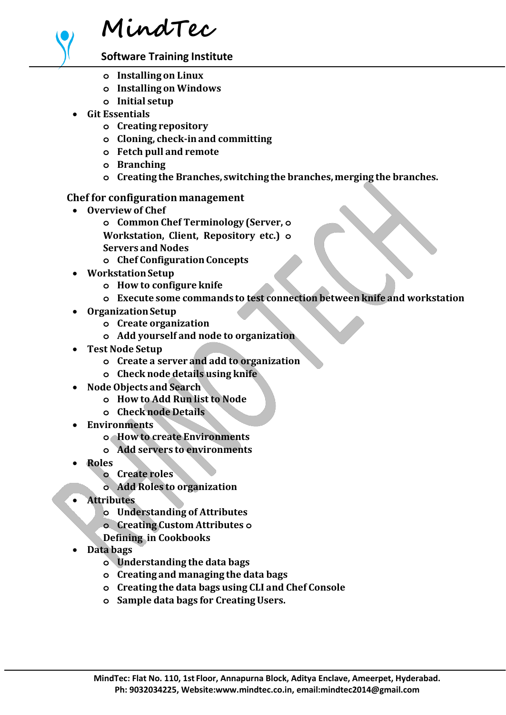

**Software Training Institute**

- **o Installing on Linux**
- **o Installing on Windows**
- **o Initial setup**
- **Git Essentials**
	- **o Creating repository**
	- **o Cloning, check-inand committing**
	- **o Fetch pull and remote**
	- **o Branching**
	- **o Creating the Branches, switching the branches,merging the branches.**

# **Chef for configuration management**

- **Overview of Chef**
	- **o Common Chef Terminology (Server, o**
	- **Workstation, Client, Repository etc.) o**
	- **Servers and Nodes**
	- **o Chef ConfigurationConcepts**
- **WorkstationSetup**
	- **o How to configure knife**
	- **o Execute some commands to test connection betweenknife and workstation**
- **OrganizationSetup**
	- **o Create organization**
	- **o Add yourself and node to organization**
- **Test Node Setup**
	- **o Create a server and add to organization**
	- **o Check node details using knife**
- **Node Objects and Search**
	- **o How to Add Run list to Node**
	- **o Check node Details**
- **Environments**
	- **o How to create Environments**
	- **o Add servers to environments**
- **Roles**
	- **o Create roles**
		- **o Add Roles to organization**
- **Attributes**
	- **o Understanding of Attributes**
	- **o Creating Custom Attributes o**
	- **Defining in Cookbooks**
- **Data bags**
	- **o Understanding the data bags**
	- **o Creating and managing the data bags**
	- **o Creating the data bags using CLI and Chef Console**
	- **o Sample data bags for CreatingUsers.**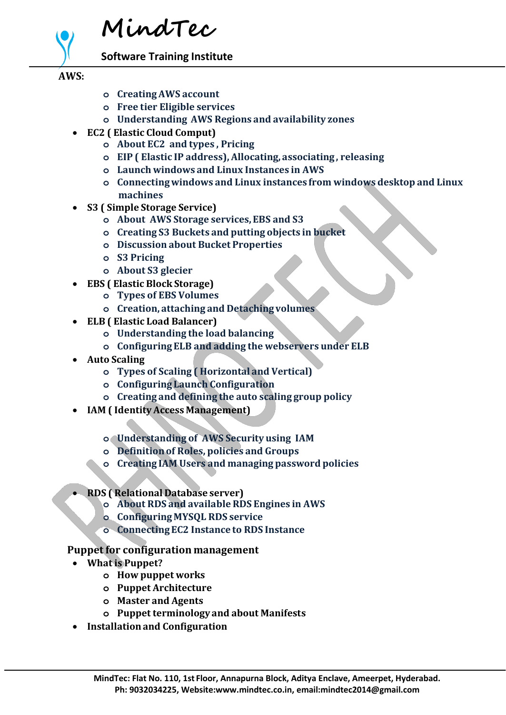

**Software Training Institute**

## **AWS:**

- **o CreatingAWS account**
- **o Free tier Eligible services**
- **o Understanding AWS Regions and availability zones**
- **EC2 ( Elastic Cloud Comput)**
	- **o About EC2 and types , Pricing**
	- **o EIP ( Elastic IP address), Allocating, associating, releasing**
	- **o Launch windows and Linux Instances in AWS**
	- **o Connectingwindows and Linux instances from windows desktop and Linux machines**
- **S3 ( Simple Storage Service)**
	- **o About AWS Storage services,EBS and S3**
	- **o Creating S3 Buckets and putting objects in bucket**
	- **o Discussion about Bucket Properties**
	- **o S3 Pricing**
	- **o About S3 glecier**
- **EBS ( Elastic Block Storage)**
	- **o Types of EBS Volumes**
	- **o Creation, attaching and Detachingvolumes**
- **ELB ( Elastic Load Balancer)**
	- **o Understanding the load balancing**
	- **o ConfiguringELB and adding the webservers under ELB**
- **Auto Scaling**
	- **o Types of Scaling ( Horizontal and Vertical)**
	- **o Configuring Launch Configuration**
	- **o Creating and defining the auto scaling group policy**
- **IAM ( IdentityAccess Management)**
	- **o Understanding of AWS Security using IAM**
	- **o Definitionof Roles, policies and Groups**
	- **o Creating IAM Users and managing password policies**
- **RDS ( Relational Database server)**
	- **o About RDS and available RDS Engines in AWS**
	- **o ConfiguringMYSQL RDS service**
	- **o ConnectingEC2 Instance to RDS Instance**

### **Puppet for configuration management**

- **What is Puppet?**
	- **o How puppet works**
	- **o Puppet Architecture**
	- **o Master and Agents**
	- **o Puppet terminology and about Manifests**
- **Installationand Configuration**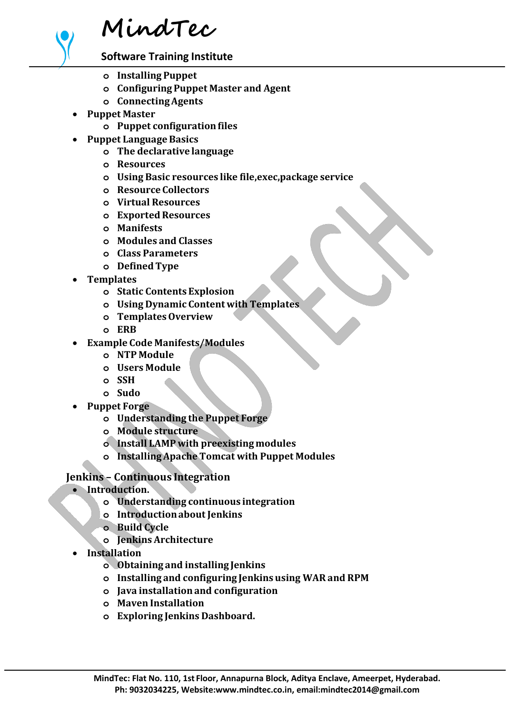

**Software Training Institute**

- **o Installing Puppet**
- **o ConfiguringPuppet Master and Agent**
- **o ConnectingAgents**
- **Puppet Master**
	- **o Puppet configurationfiles**
	- **Puppet LanguageBasics**
		- **o The declarative language**
		- **o Resources**
		- **o Using Basic resources like file,exec,package service**
		- **o Resource Collectors**
		- **o Virtual Resources**
		- **o ExportedResources**
		- **o Manifests**
		- **o Modules and Classes**
		- **o Class Parameters**
		- **o DefinedType**
- **Templates**
	- **o Static Contents Explosion**
	- **o Using Dynamic Content with Templates**
	- **o TemplatesOverview**
	- **o ERB**
- **Example Code Manifests/Modules**
	- **o NTP Module**
	- **o Users Module**
	- **o SSH**
	- **o Sudo**
- **Puppet Forge**
	- **o Understanding the Puppet Forge**
	- **o Module structure**
	- **o Install LAMP with preexisting modules**
	- **o InstallingApache Tomcat with Puppet Modules**

# **Jenkins – Continuous Integration**

- **Introduction.**
	- **o Understanding continuous integration**
	- **o Introductionabout Jenkins**
	- **o Build Cycle**
	- **o Jenkins Architecture**
- **Installation**
	- **o Obtaining and installing Jenkins**
	- **o Installing and configuring Jenkins using WAR and RPM**
	- **o Java installationand configuration**
	- **o Maven Installation**
	- **o Exploring Jenkins Dashboard.**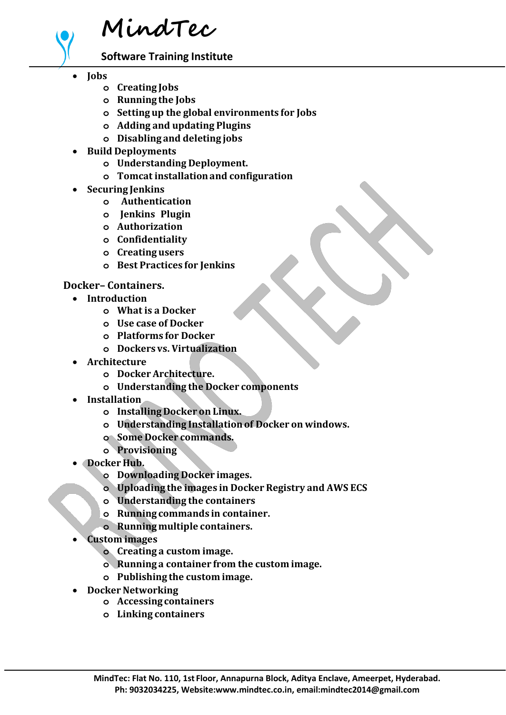

**Software Training Institute**

- **Jobs**
	- **o Creating Jobs**
	- **o Running the Jobs**
	- **o Setting up the global environments for Jobs**
	- **o Adding and updating Plugins**
	- **o Disabling and deleting jobs**
- **Build Deployments**
	- **o Understanding Deployment.**
	- **o Tomcat installationand configuration**
- **Securing Jenkins**
	- **o Authentication**
	- **o Jenkins Plugin**
	- **o Authorization**
	- **o Confidentiality**
	- **o Creating users**
	- **o Best Practices for Jenkins**

#### **Docker– Containers.**

- **Introduction**
	- **o What is a Docker**
	- **o Use case of Docker**
	- **o Platforms for Docker**
	- **o Dockers vs. Virtualization**
- **Architecture**
	- **o Docker Architecture.**
	- **o Understanding the Docker components**
- **Installation**
	- **o Installing Docker on Linux.**
	- **o Understanding Installationof Docker on windows.**
	- **o Some Docker commands.**
	- **o Provisioning**
- **Docker Hub.**
	- **o Downloading Docker images.**
	- **o Uploading the images in Docker Registry and AWS ECS**
	- **o Understanding the containers**
	- **o Running commands in container.**
	- **o Runningmultiple containers.**
- **Custom images**
	- **o Creating a custom image.**
	- **o Running a container from the custom image.**
	- **o Publishing the custom image.**
- **Docker Networking** 
	- **o Accessing containers**
	- **o Linking containers**